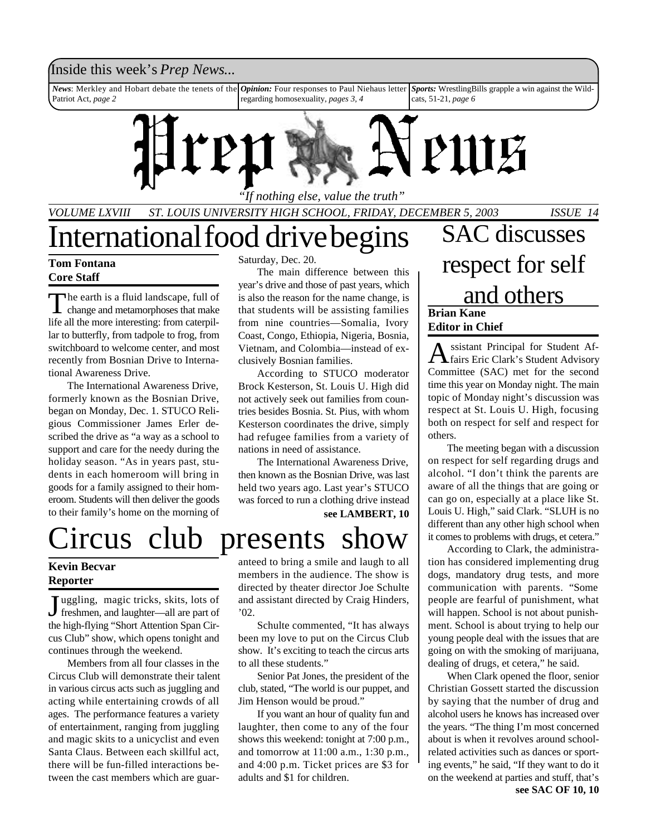## Inside this week's *Prep News*...

*News*: Merkley and Hobart debate the tenets of the Patriot Act, *page 2 Opinion:* Four responses to Paul Niehaus letter regarding homosexuality, *pages 3, 4 Sports:* WrestlingBills grapple a win against the Wildcats, 51-21, *page 6*



*VOLUME LXVIII ST. LOUIS UNIVERSITY HIGH SCHOOL, FRIDAY, DECEMBER 5, 2003 ISSUE 14*

# International food drive begins SAC discusses

#### **Tom Fontana Core Staff**

The earth is a fluid landscape, full of<br>change and metamorphoses that make he earth is a fluid landscape, full of life all the more interesting: from caterpillar to butterfly, from tadpole to frog, from switchboard to welcome center, and most recently from Bosnian Drive to International Awareness Drive.

The International Awareness Drive, formerly known as the Bosnian Drive, began on Monday, Dec. 1. STUCO Religious Commissioner James Erler described the drive as "a way as a school to support and care for the needy during the holiday season. "As in years past, students in each homeroom will bring in goods for a family assigned to their homeroom. Students will then deliver the goods to their family's home on the morning of

Saturday, Dec. 20.

The main difference between this year's drive and those of past years, which is also the reason for the name change, is that students will be assisting families from nine countries—Somalia, Ivory Coast, Congo, Ethiopia, Nigeria, Bosnia, Vietnam, and Colombia—instead of exclusively Bosnian families.

According to STUCO moderator Brock Kesterson, St. Louis U. High did not actively seek out families from countries besides Bosnia. St. Pius, with whom Kesterson coordinates the drive, simply had refugee families from a variety of nations in need of assistance.

**see LAMBERT, 10** The International Awareness Drive, then known as the Bosnian Drive, was last held two years ago. Last year's STUCO was forced to run a clothing drive instead



## **Kevin Becvar Reporter**

J freshmen, and laughter—all are part of uggling, magic tricks, skits, lots of the high-flying "Short Attention Span Circus Club" show, which opens tonight and continues through the weekend.

Members from all four classes in the Circus Club will demonstrate their talent in various circus acts such as juggling and acting while entertaining crowds of all ages. The performance features a variety of entertainment, ranging from juggling and magic skits to a unicyclist and even Santa Claus. Between each skillful act, there will be fun-filled interactions between the cast members which are guaranteed to bring a smile and laugh to all members in the audience. The show is directed by theater director Joe Schulte and assistant directed by Craig Hinders, '02.

Schulte commented, "It has always been my love to put on the Circus Club show. It's exciting to teach the circus arts to all these students."

Senior Pat Jones, the president of the club, stated, "The world is our puppet, and Jim Henson would be proud."

If you want an hour of quality fun and laughter, then come to any of the four shows this weekend: tonight at 7:00 p.m., and tomorrow at 11:00 a.m., 1:30 p.m., and 4:00 p.m. Ticket prices are \$3 for adults and \$1 for children.

## respect for self and others **Brian Kane Editor in Chief**

A ssistant Principal for Student Af-<br>Fairs Eric Clark's Student Advisory ssistant Principal for Student Af-Committee (SAC) met for the second time this year on Monday night. The main topic of Monday night's discussion was respect at St. Louis U. High, focusing both on respect for self and respect for others.

The meeting began with a discussion on respect for self regarding drugs and alcohol. "I don't think the parents are aware of all the things that are going or can go on, especially at a place like St. Louis U. High," said Clark. "SLUH is no different than any other high school when it comes to problems with drugs, et cetera."

According to Clark, the administration has considered implementing drug dogs, mandatory drug tests, and more communication with parents. "Some people are fearful of punishment, what will happen. School is not about punishment. School is about trying to help our young people deal with the issues that are going on with the smoking of marijuana, dealing of drugs, et cetera," he said.

**see SAC OF 10, 10** When Clark opened the floor, senior Christian Gossett started the discussion by saying that the number of drug and alcohol users he knows has increased over the years. "The thing I'm most concerned about is when it revolves around schoolrelated activities such as dances or sporting events," he said, "If they want to do it on the weekend at parties and stuff, that's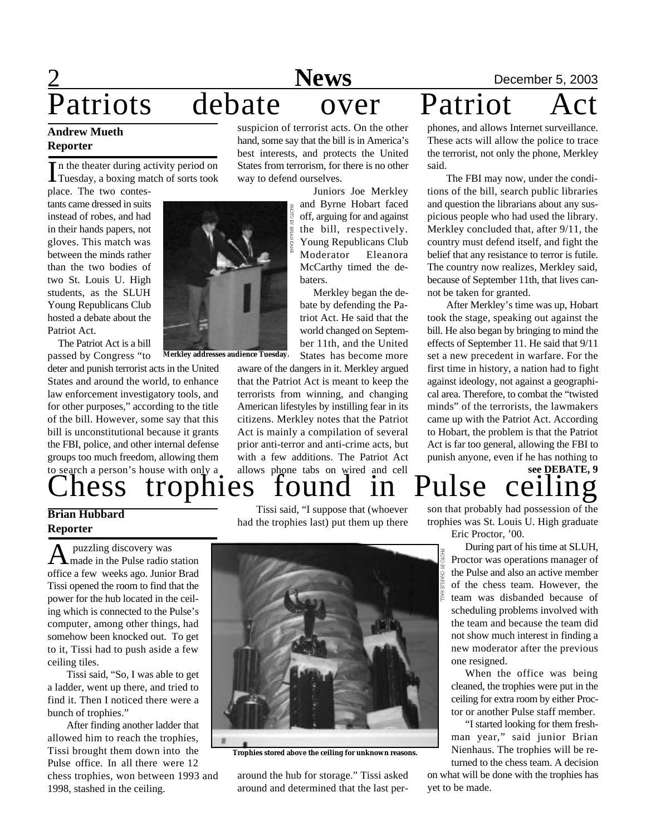## 2 **News** December 5, 2003 Patriots debate over Patriot suspicion of terrorist acts. On the other phones, and allows Internet surveillance.

### **Andrew Mueth Reporter**

In the theater during activity period on<br>Tuesday, a boxing match of sorts took n the theater during activity period on place. The two contes-

tants came dressed in suits instead of robes, and had in their hands papers, not gloves. This match was between the minds rather than the two bodies of two St. Louis U. High students, as the SLUH Young Republicans Club hosted a debate about the Patriot Act.

The Patriot Act is a bill passed by Congress "to

deter and punish terrorist acts in the United States and around the world, to enhance law enforcement investigatory tools, and for other purposes," according to the title of the bill. However, some say that this bill is unconstitutional because it grants the FBI, police, and other internal defense groups too much freedom, allowing them to search a person's house with only a hand, some say that the bill is in America's best interests, and protects the United States from terrorism, for there is no other way to defend ourselves. Juniors Joe Merkley

and Byrne Hobart faced off, arguing for and against the bill, respectively. Young Republicans Club Moderator Eleanora McCarthy timed the debaters.

Merkley began the debate by defending the Patriot Act. He said that the world changed on September 11th, and the United States has become more

aware of the dangers in it. Merkley argued that the Patriot Act is meant to keep the terrorists from winning, and changing American lifestyles by instilling fear in its citizens. Merkley notes that the Patriot Act is mainly a compilation of several prior anti-terror and anti-crime acts, but with a few additions. The Patriot Act allows phone tabs on wired and cell

These acts will allow the police to trace the terrorist, not only the phone, Merkley said.

The FBI may now, under the conditions of the bill, search public libraries and question the librarians about any suspicious people who had used the library. Merkley concluded that, after 9/11, the country must defend itself, and fight the belief that any resistance to terror is futile. The country now realizes, Merkley said, because of September 11th, that lives cannot be taken for granted.

After Merkley's time was up, Hobart took the stage, speaking out against the bill. He also began by bringing to mind the effects of September 11. He said that 9/11 set a new precedent in warfare. For the first time in history, a nation had to fight against ideology, not against a geographical area. Therefore, to combat the "twisted minds" of the terrorists, the lawmakers came up with the Patriot Act. According to Hobart, the problem is that the Patriot Act is far too general, allowing the FBI to punish anyone, even if he has nothing to **see DEBATE, 9**

ess trophies found in Pulse

### **Brian Hubbard Reporter**

A puzzling discovery was<br>
and in the Pulse radio station puzzling discovery was office a few weeks ago. Junior Brad Tissi opened the room to find that the power for the hub located in the ceiling which is connected to the Pulse's computer, among other things, had somehow been knocked out. To get to it, Tissi had to push aside a few ceiling tiles.

Tissi said, "So, I was able to get a ladder, went up there, and tried to find it. Then I noticed there were a bunch of trophies."

After finding another ladder that allowed him to reach the trophies, Tissi brought them down into the Pulse office. In all there were 12 chess trophies, won between 1993 and 1998, stashed in the ceiling.

Tissi said, "I suppose that (whoever had the trophies last) put them up there



**Trophies stored above the ceiling for unknown reasons.**

around the hub for storage." Tissi asked around and determined that the last per-

son that probably had possession of the trophies was St. Louis U. High graduate

Eric Proctor, '00.

During part of his time at SLUH, Proctor was operations manager of the Pulse and also an active member of the chess team. However, the team was disbanded because of scheduling problems involved with the team and because the team did not show much interest in finding a new moderator after the previous one resigned.

When the office was being cleaned, the trophies were put in the ceiling for extra room by either Proctor or another Pulse staff member.

"I started looking for them freshman year," said junior Brian Nienhaus. The trophies will be returned to the chess team. A decision

on what will be done with the trophies has yet to be made.



**Merkley addresses audience Tuesday.**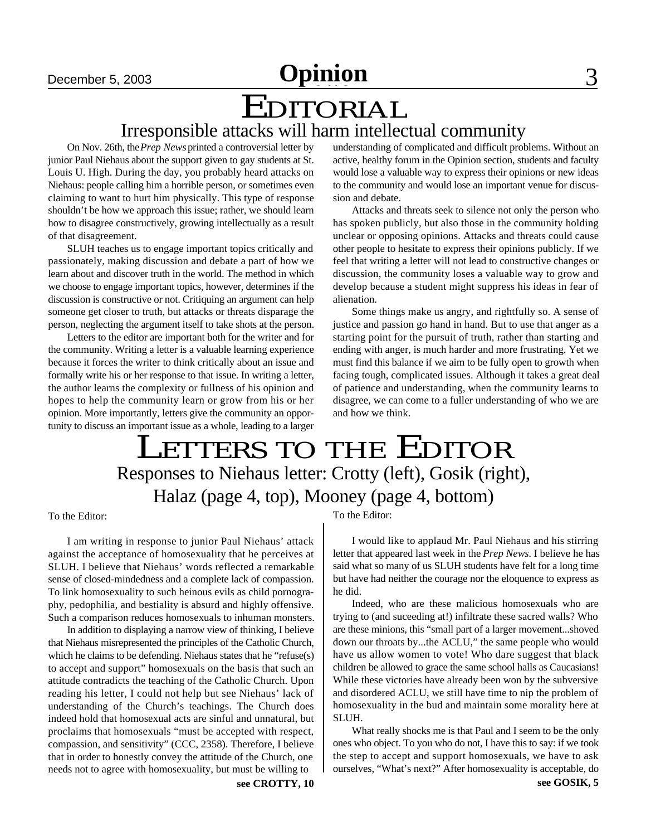December 5, 2003 **Opinion** 3

# EDITORIAL

Irresponsible attacks will harm intellectual community

On Nov. 26th, the *Prep News* printed a controversial letter by junior Paul Niehaus about the support given to gay students at St. Louis U. High. During the day, you probably heard attacks on Niehaus: people calling him a horrible person, or sometimes even claiming to want to hurt him physically. This type of response shouldn't be how we approach this issue; rather, we should learn how to disagree constructively, growing intellectually as a result of that disagreement.

SLUH teaches us to engage important topics critically and passionately, making discussion and debate a part of how we learn about and discover truth in the world. The method in which we choose to engage important topics, however, determines if the discussion is constructive or not. Critiquing an argument can help someone get closer to truth, but attacks or threats disparage the person, neglecting the argument itself to take shots at the person.

Letters to the editor are important both for the writer and for the community. Writing a letter is a valuable learning experience because it forces the writer to think critically about an issue and formally write his or her response to that issue. In writing a letter, the author learns the complexity or fullness of his opinion and hopes to help the community learn or grow from his or her opinion. More importantly, letters give the community an opportunity to discuss an important issue as a whole, leading to a larger

understanding of complicated and difficult problems. Without an active, healthy forum in the Opinion section, students and faculty would lose a valuable way to express their opinions or new ideas to the community and would lose an important venue for discussion and debate.

Attacks and threats seek to silence not only the person who has spoken publicly, but also those in the community holding unclear or opposing opinions. Attacks and threats could cause other people to hesitate to express their opinions publicly. If we feel that writing a letter will not lead to constructive changes or discussion, the community loses a valuable way to grow and develop because a student might suppress his ideas in fear of alienation.

Some things make us angry, and rightfully so. A sense of justice and passion go hand in hand. But to use that anger as a starting point for the pursuit of truth, rather than starting and ending with anger, is much harder and more frustrating. Yet we must find this balance if we aim to be fully open to growth when facing tough, complicated issues. Although it takes a great deal of patience and understanding, when the community learns to disagree, we can come to a fuller understanding of who we are and how we think.

## LETTERS TO THE EDITOR Responses to Niehaus letter: Crotty (left), Gosik (right), Halaz (page 4, top), Mooney (page 4, bottom)

### To the Editor:

I am writing in response to junior Paul Niehaus' attack against the acceptance of homosexuality that he perceives at SLUH. I believe that Niehaus' words reflected a remarkable sense of closed-mindedness and a complete lack of compassion. To link homosexuality to such heinous evils as child pornography, pedophilia, and bestiality is absurd and highly offensive. Such a comparison reduces homosexuals to inhuman monsters.

In addition to displaying a narrow view of thinking, I believe that Niehaus misrepresented the principles of the Catholic Church, which he claims to be defending. Niehaus states that he "refuse(s) to accept and support" homosexuals on the basis that such an attitude contradicts the teaching of the Catholic Church. Upon reading his letter, I could not help but see Niehaus' lack of understanding of the Church's teachings. The Church does indeed hold that homosexual acts are sinful and unnatural, but proclaims that homosexuals "must be accepted with respect, compassion, and sensitivity" (CCC, 2358). Therefore, I believe that in order to honestly convey the attitude of the Church, one needs not to agree with homosexuality, but must be willing to

To the Editor:

I would like to applaud Mr. Paul Niehaus and his stirring letter that appeared last week in the *Prep News.* I believe he has said what so many of us SLUH students have felt for a long time but have had neither the courage nor the eloquence to express as he did.

Indeed, who are these malicious homosexuals who are trying to (and suceeding at!) infiltrate these sacred walls? Who are these minions, this "small part of a larger movement...shoved down our throats by...the ACLU," the same people who would have us allow women to vote! Who dare suggest that black children be allowed to grace the same school halls as Caucasians! While these victories have already been won by the subversive and disordered ACLU, we still have time to nip the problem of homosexuality in the bud and maintain some morality here at SLUH.

What really shocks me is that Paul and I seem to be the only ones who object. To you who do not, I have this to say: if we took the step to accept and support homosexuals, we have to ask ourselves, "What's next?" After homosexuality is acceptable, do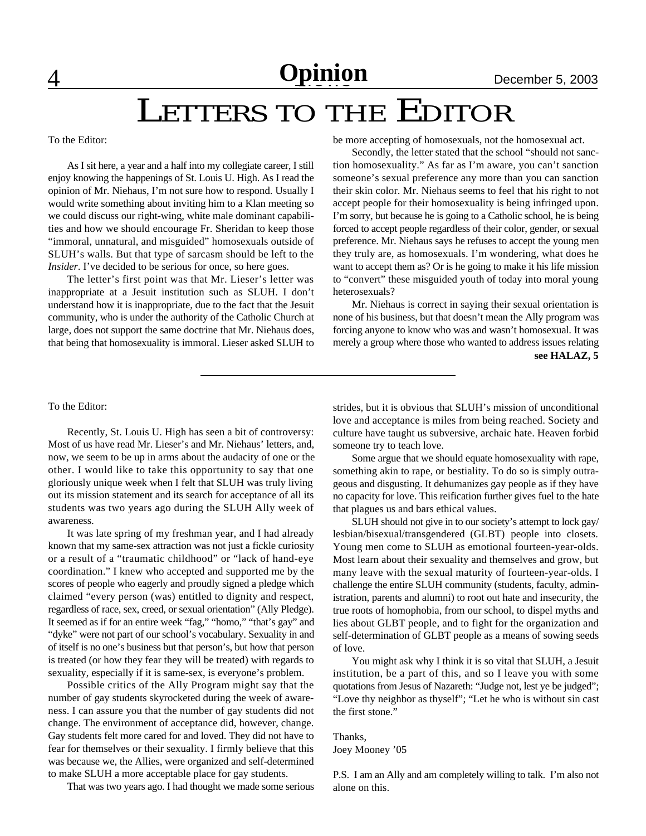## LETTERS TO THE EDITOR

To the Editor:

As I sit here, a year and a half into my collegiate career, I still enjoy knowing the happenings of St. Louis U. High. As I read the opinion of Mr. Niehaus, I'm not sure how to respond. Usually I would write something about inviting him to a Klan meeting so we could discuss our right-wing, white male dominant capabilities and how we should encourage Fr. Sheridan to keep those "immoral, unnatural, and misguided" homosexuals outside of SLUH's walls. But that type of sarcasm should be left to the *Insider*. I've decided to be serious for once, so here goes.

The letter's first point was that Mr. Lieser's letter was inappropriate at a Jesuit institution such as SLUH. I don't understand how it is inappropriate, due to the fact that the Jesuit community, who is under the authority of the Catholic Church at large, does not support the same doctrine that Mr. Niehaus does, that being that homosexuality is immoral. Lieser asked SLUH to

be more accepting of homosexuals, not the homosexual act.

Secondly, the letter stated that the school "should not sanction homosexuality." As far as I'm aware, you can't sanction someone's sexual preference any more than you can sanction their skin color. Mr. Niehaus seems to feel that his right to not accept people for their homosexuality is being infringed upon. I'm sorry, but because he is going to a Catholic school, he is being forced to accept people regardless of their color, gender, or sexual preference. Mr. Niehaus says he refuses to accept the young men they truly are, as homosexuals. I'm wondering, what does he want to accept them as? Or is he going to make it his life mission to "convert" these misguided youth of today into moral young heterosexuals?

**see HALAZ, 5** Mr. Niehaus is correct in saying their sexual orientation is none of his business, but that doesn't mean the Ally program was forcing anyone to know who was and wasn't homosexual. It was merely a group where those who wanted to address issues relating

#### To the Editor:

Recently, St. Louis U. High has seen a bit of controversy: Most of us have read Mr. Lieser's and Mr. Niehaus' letters, and, now, we seem to be up in arms about the audacity of one or the other. I would like to take this opportunity to say that one gloriously unique week when I felt that SLUH was truly living out its mission statement and its search for acceptance of all its students was two years ago during the SLUH Ally week of awareness.

It was late spring of my freshman year, and I had already known that my same-sex attraction was not just a fickle curiosity or a result of a "traumatic childhood" or "lack of hand-eye coordination." I knew who accepted and supported me by the scores of people who eagerly and proudly signed a pledge which claimed "every person (was) entitled to dignity and respect, regardless of race, sex, creed, or sexual orientation" (Ally Pledge). It seemed as if for an entire week "fag," "homo," "that's gay" and "dyke" were not part of our school's vocabulary. Sexuality in and of itself is no one's business but that person's, but how that person is treated (or how they fear they will be treated) with regards to sexuality, especially if it is same-sex, is everyone's problem.

Possible critics of the Ally Program might say that the number of gay students skyrocketed during the week of awareness. I can assure you that the number of gay students did not change. The environment of acceptance did, however, change. Gay students felt more cared for and loved. They did not have to fear for themselves or their sexuality. I firmly believe that this was because we, the Allies, were organized and self-determined to make SLUH a more acceptable place for gay students.

That was two years ago. I had thought we made some serious

strides, but it is obvious that SLUH's mission of unconditional love and acceptance is miles from being reached. Society and culture have taught us subversive, archaic hate. Heaven forbid someone try to teach love.

Some argue that we should equate homosexuality with rape, something akin to rape, or bestiality. To do so is simply outrageous and disgusting. It dehumanizes gay people as if they have no capacity for love. This reification further gives fuel to the hate that plagues us and bars ethical values.

SLUH should not give in to our society's attempt to lock gay/ lesbian/bisexual/transgendered (GLBT) people into closets. Young men come to SLUH as emotional fourteen-year-olds. Most learn about their sexuality and themselves and grow, but many leave with the sexual maturity of fourteen-year-olds. I challenge the entire SLUH community (students, faculty, administration, parents and alumni) to root out hate and insecurity, the true roots of homophobia, from our school, to dispel myths and lies about GLBT people, and to fight for the organization and self-determination of GLBT people as a means of sowing seeds of love.

You might ask why I think it is so vital that SLUH, a Jesuit institution, be a part of this, and so I leave you with some quotations from Jesus of Nazareth: "Judge not, lest ye be judged"; "Love thy neighbor as thyself"; "Let he who is without sin cast the first stone."

#### Thanks, Joey Mooney '05

P.S. I am an Ally and am completely willing to talk. I'm also not alone on this.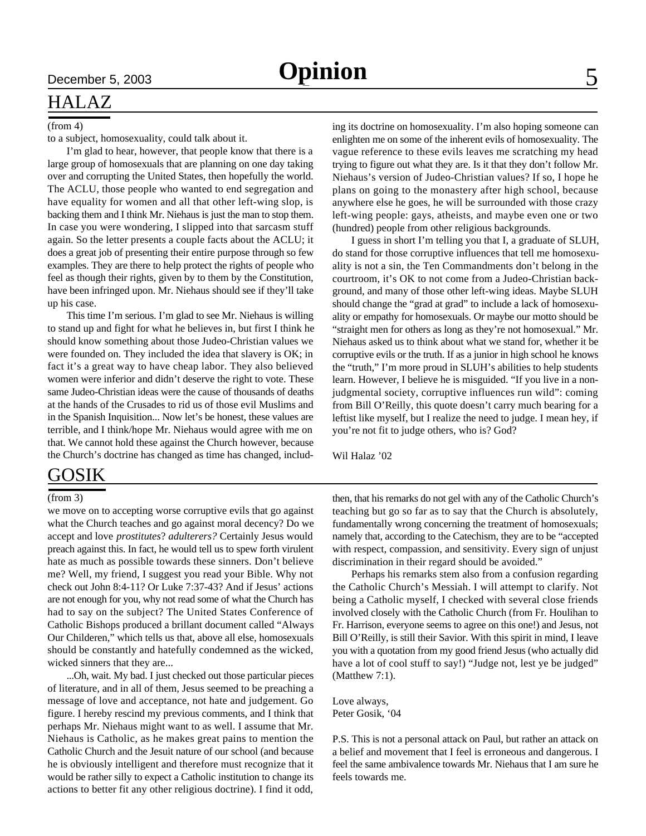## HALAZ

#### (from 4)

to a subject, homosexuality, could talk about it.

I'm glad to hear, however, that people know that there is a large group of homosexuals that are planning on one day taking over and corrupting the United States, then hopefully the world. The ACLU, those people who wanted to end segregation and have equality for women and all that other left-wing slop, is backing them and I think Mr. Niehaus is just the man to stop them. In case you were wondering, I slipped into that sarcasm stuff again. So the letter presents a couple facts about the ACLU; it does a great job of presenting their entire purpose through so few examples. They are there to help protect the rights of people who feel as though their rights, given by to them by the Constitution, have been infringed upon. Mr. Niehaus should see if they'll take up his case.

This time I'm serious. I'm glad to see Mr. Niehaus is willing to stand up and fight for what he believes in, but first I think he should know something about those Judeo-Christian values we were founded on. They included the idea that slavery is OK; in fact it's a great way to have cheap labor. They also believed women were inferior and didn't deserve the right to vote. These same Judeo-Christian ideas were the cause of thousands of deaths at the hands of the Crusades to rid us of those evil Muslims and in the Spanish Inquisition... Now let's be honest, these values are terrible, and I think/hope Mr. Niehaus would agree with me on that. We cannot hold these against the Church however, because the Church's doctrine has changed as time has changed, including its doctrine on homosexuality. I'm also hoping someone can enlighten me on some of the inherent evils of homosexuality. The vague reference to these evils leaves me scratching my head trying to figure out what they are. Is it that they don't follow Mr. Niehaus's version of Judeo-Christian values? If so, I hope he plans on going to the monastery after high school, because anywhere else he goes, he will be surrounded with those crazy left-wing people: gays, atheists, and maybe even one or two (hundred) people from other religious backgrounds.

I guess in short I'm telling you that I, a graduate of SLUH, do stand for those corruptive influences that tell me homosexuality is not a sin, the Ten Commandments don't belong in the courtroom, it's OK to not come from a Judeo-Christian background, and many of those other left-wing ideas. Maybe SLUH should change the "grad at grad" to include a lack of homosexuality or empathy for homosexuals. Or maybe our motto should be "straight men for others as long as they're not homosexual." Mr. Niehaus asked us to think about what we stand for, whether it be corruptive evils or the truth. If as a junior in high school he knows the "truth," I'm more proud in SLUH's abilities to help students learn. However, I believe he is misguided. "If you live in a nonjudgmental society, corruptive influences run wild": coming from Bill O'Reilly, this quote doesn't carry much bearing for a leftist like myself, but I realize the need to judge. I mean hey, if you're not fit to judge others, who is? God?

Wil Halaz '02

## GOSIK

#### (from 3)

we move on to accepting worse corruptive evils that go against what the Church teaches and go against moral decency? Do we accept and love *prostitutes*? *adulterers?* Certainly Jesus would preach against this. In fact, he would tell us to spew forth virulent hate as much as possible towards these sinners. Don't believe me? Well, my friend, I suggest you read your Bible. Why not check out John 8:4-11? Or Luke 7:37-43? And if Jesus' actions are not enough for you, why not read some of what the Church has had to say on the subject? The United States Conference of Catholic Bishops produced a brillant document called "Always Our Childeren," which tells us that, above all else, homosexuals should be constantly and hatefully condemned as the wicked, wicked sinners that they are...

...Oh, wait. My bad. I just checked out those particular pieces of literature, and in all of them, Jesus seemed to be preaching a message of love and acceptance, not hate and judgement. Go figure. I hereby rescind my previous comments, and I think that perhaps Mr. Niehaus might want to as well. I assume that Mr. Niehaus is Catholic, as he makes great pains to mention the Catholic Church and the Jesuit nature of our school (and because he is obviously intelligent and therefore must recognize that it would be rather silly to expect a Catholic institution to change its actions to better fit any other religious doctrine). I find it odd, then, that his remarks do not gel with any of the Catholic Church's teaching but go so far as to say that the Church is absolutely, fundamentally wrong concerning the treatment of homosexuals; namely that, according to the Catechism, they are to be "accepted with respect, compassion, and sensitivity. Every sign of unjust discrimination in their regard should be avoided."

Perhaps his remarks stem also from a confusion regarding the Catholic Church's Messiah. I will attempt to clarify. Not being a Catholic myself, I checked with several close friends involved closely with the Catholic Church (from Fr. Houlihan to Fr. Harrison, everyone seems to agree on this one!) and Jesus, not Bill O'Reilly, is still their Savior. With this spirit in mind, I leave you with a quotation from my good friend Jesus (who actually did have a lot of cool stuff to say!) "Judge not, lest ye be judged" (Matthew 7:1).

Love always, Peter Gosik, '04

P.S. This is not a personal attack on Paul, but rather an attack on a belief and movement that I feel is erroneous and dangerous. I feel the same ambivalence towards Mr. Niehaus that I am sure he feels towards me.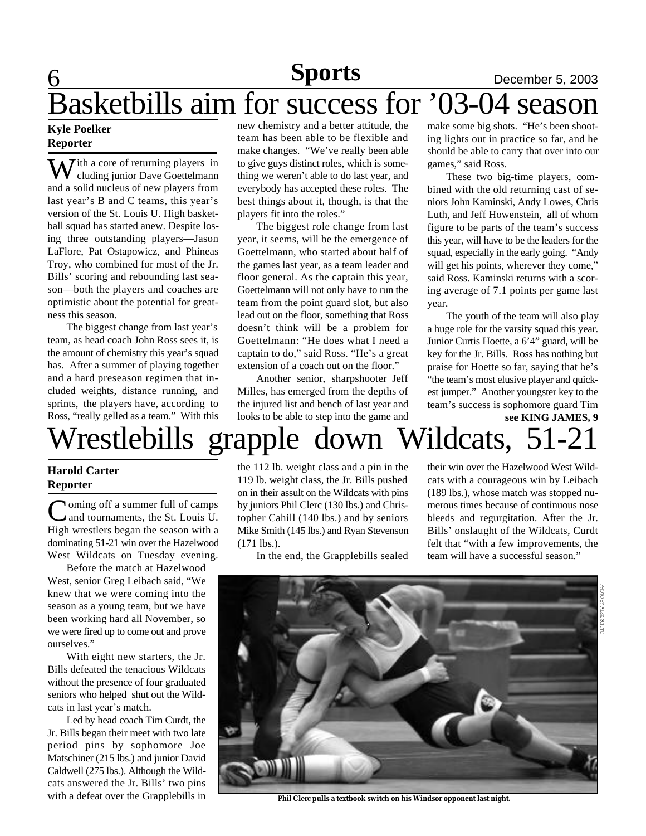## **6 Sports** December 5, 2003 Basketbills aim for success for '03-04 season

### **Kyle Poelker Reporter**

 $\overline{J}$  ith a core of returning players in cluding junior Dave Goettelmann and a solid nucleus of new players from last year's B and C teams, this year's version of the St. Louis U. High basketball squad has started anew. Despite losing three outstanding players—Jason LaFlore, Pat Ostapowicz, and Phineas Troy, who combined for most of the Jr. Bills' scoring and rebounding last season—both the players and coaches are optimistic about the potential for greatness this season.

The biggest change from last year's team, as head coach John Ross sees it, is the amount of chemistry this year's squad has. After a summer of playing together and a hard preseason regimen that included weights, distance running, and sprints, the players have, according to Ross, "really gelled as a team." With this

new chemistry and a better attitude, the team has been able to be flexible and make changes. "We've really been able to give guys distinct roles, which is something we weren't able to do last year, and everybody has accepted these roles. The best things about it, though, is that the players fit into the roles."

The biggest role change from last year, it seems, will be the emergence of Goettelmann, who started about half of the games last year, as a team leader and floor general. As the captain this year, Goettelmann will not only have to run the team from the point guard slot, but also lead out on the floor, something that Ross doesn't think will be a problem for Goettelmann: "He does what I need a captain to do," said Ross. "He's a great extension of a coach out on the floor."

Another senior, sharpshooter Jeff Milles, has emerged from the depths of the injured list and bench of last year and looks to be able to step into the game and

make some big shots. "He's been shooting lights out in practice so far, and he should be able to carry that over into our games," said Ross.

These two big-time players, combined with the old returning cast of seniors John Kaminski, Andy Lowes, Chris Luth, and Jeff Howenstein, all of whom figure to be parts of the team's success this year, will have to be the leaders for the squad, especially in the early going. "Andy will get his points, wherever they come," said Ross. Kaminski returns with a scoring average of 7.1 points per game last year.

**see KING JAMES, 9** The youth of the team will also play a huge role for the varsity squad this year. Junior Curtis Hoette, a 6'4" guard, will be key for the Jr. Bills. Ross has nothing but praise for Hoette so far, saying that he's "the team's most elusive player and quickest jumper." Another youngster key to the team's success is sophomore guard Tim

# Wrestlebills grapple down Wildcats, 51-21

### **Harold Carter Reporter**

Coming off a summer full of camps<br>and tournaments, the St. Louis U. and tournaments, the St. Louis U. High wrestlers began the season with a dominating 51-21 win over the Hazelwood West Wildcats on Tuesday evening.

Before the match at Hazelwood West, senior Greg Leibach said, "We knew that we were coming into the season as a young team, but we have been working hard all November, so we were fired up to come out and prove ourselves."

With eight new starters, the Jr. Bills defeated the tenacious Wildcats without the presence of four graduated seniors who helped shut out the Wildcats in last year's match.

Led by head coach Tim Curdt, the Jr. Bills began their meet with two late period pins by sophomore Joe Matschiner (215 lbs.) and junior David Caldwell (275 lbs.). Although the Wildcats answered the Jr. Bills' two pins with a defeat over the Grapplebills in

the 112 lb. weight class and a pin in the 119 lb. weight class, the Jr. Bills pushed on in their assult on the Wildcats with pins by juniors Phil Clerc (130 lbs.) and Christopher Cahill (140 lbs.) and by seniors Mike Smith (145 lbs.) and Ryan Stevenson (171 lbs.).

In the end, the Grapplebills sealed

their win over the Hazelwood West Wildcats with a courageous win by Leibach (189 lbs.), whose match was stopped numerous times because of continuous nose bleeds and regurgitation. After the Jr. Bills' onslaught of the Wildcats, Curdt felt that "with a few improvements, the team will have a successful season."



**Phil Clerc pulls a textbook switch on his Windsor opponent last night.**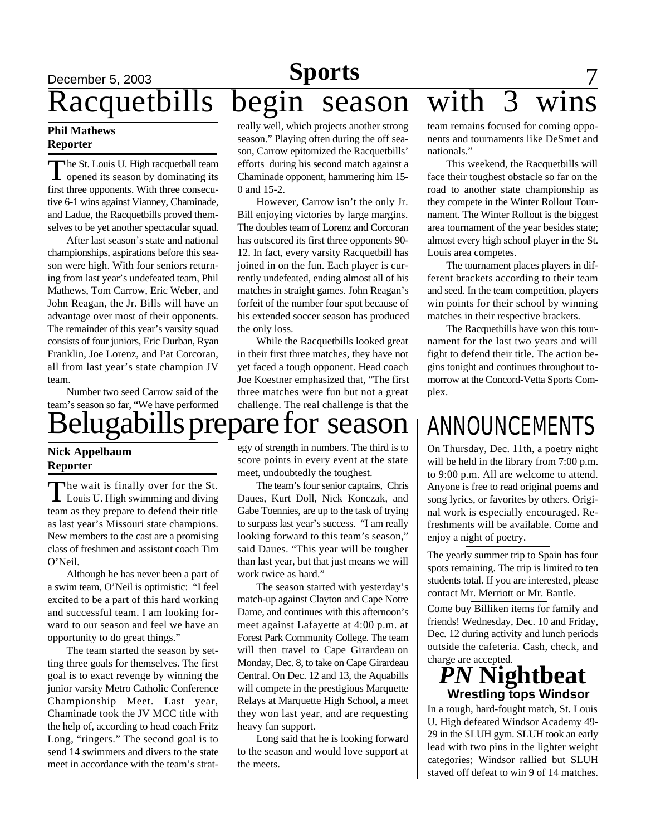## **Sports** 7 Racquetbills begin season with

really well, which projects another strong season." Playing often during the off season, Carrow epitomized the Racquetbills' efforts during his second match against a Chaminade opponent, hammering him 15-

However, Carrow isn't the only Jr. Bill enjoying victories by large margins. The doubles team of Lorenz and Corcoran has outscored its first three opponents 90- 12. In fact, every varsity Racquetbill has joined in on the fun. Each player is currently undefeated, ending almost all of his matches in straight games. John Reagan's forfeit of the number four spot because of his extended soccer season has produced

While the Racquetbills looked great in their first three matches, they have not yet faced a tough opponent. Head coach Joe Koestner emphasized that, "The first three matches were fun but not a great

0 and 15-2.

the only loss.

# **Phil Mathews**

## **Reporter**

The St. Louis U. High racquetball team<br>opened its season by dominating its The St. Louis U. High racquetball team first three opponents. With three consecutive 6-1 wins against Vianney, Chaminade, and Ladue, the Racquetbills proved themselves to be yet another spectacular squad.

After last season's state and national championships, aspirations before this season were high. With four seniors returning from last year's undefeated team, Phil Mathews, Tom Carrow, Eric Weber, and John Reagan, the Jr. Bills will have an advantage over most of their opponents. The remainder of this year's varsity squad consists of four juniors, Eric Durban, Ryan Franklin, Joe Lorenz, and Pat Corcoran, all from last year's state champion JV team.

Number two seed Carrow said of the team's season so far, "We have performed

## challenge. The real challenge is that the ugabills prepare for season

## **Nick Appelbaum Reporter**

The wait is finally over for the St.<br>Louis U. High swimming and diving The wait is finally over for the St. team as they prepare to defend their title as last year's Missouri state champions. New members to the cast are a promising class of freshmen and assistant coach Tim O'Neil.

Although he has never been a part of a swim team, O'Neil is optimistic: "I feel excited to be a part of this hard working and successful team. I am looking forward to our season and feel we have an opportunity to do great things."

The team started the season by setting three goals for themselves. The first goal is to exact revenge by winning the junior varsity Metro Catholic Conference Championship Meet. Last year, Chaminade took the JV MCC title with the help of, according to head coach Fritz Long, "ringers." The second goal is to send 14 swimmers and divers to the state meet in accordance with the team's strategy of strength in numbers. The third is to score points in every event at the state meet, undoubtedly the toughest.

The team's four senior captains, Chris Daues, Kurt Doll, Nick Konczak, and Gabe Toennies, are up to the task of trying to surpass last year's success. "I am really looking forward to this team's season," said Daues. "This year will be tougher than last year, but that just means we will work twice as hard."

The season started with yesterday's match-up against Clayton and Cape Notre Dame, and continues with this afternoon's meet against Lafayette at 4:00 p.m. at Forest Park Community College. The team will then travel to Cape Girardeau on Monday, Dec. 8, to take on Cape Girardeau Central. On Dec. 12 and 13, the Aquabills will compete in the prestigious Marquette Relays at Marquette High School, a meet they won last year, and are requesting heavy fan support.

Long said that he is looking forward to the season and would love support at the meets.

team remains focused for coming opponents and tournaments like DeSmet and nationals."

This weekend, the Racquetbills will face their toughest obstacle so far on the road to another state championship as they compete in the Winter Rollout Tournament. The Winter Rollout is the biggest area tournament of the year besides state; almost every high school player in the St. Louis area competes.

The tournament places players in different brackets according to their team and seed. In the team competition, players win points for their school by winning matches in their respective brackets.

The Racquetbills have won this tournament for the last two years and will fight to defend their title. The action begins tonight and continues throughout tomorrow at the Concord-Vetta Sports Complex.

## ANNOUNCEMENTS

On Thursday, Dec. 11th, a poetry night will be held in the library from 7:00 p.m. to 9:00 p.m. All are welcome to attend. Anyone is free to read original poems and song lyrics, or favorites by others. Original work is especially encouraged. Refreshments will be available. Come and enjoy a night of poetry.

The yearly summer trip to Spain has four spots remaining. The trip is limited to ten students total. If you are interested, please contact Mr. Merriott or Mr. Bantle.

Come buy Billiken items for family and friends! Wednesday, Dec. 10 and Friday, Dec. 12 during activity and lunch periods outside the cafeteria. Cash, check, and charge are accepted.

## *PN* **Nightbeat Wrestling tops Windsor**

In a rough, hard-fought match, St. Louis U. High defeated Windsor Academy 49- 29 in the SLUH gym. SLUH took an early lead with two pins in the lighter weight categories; Windsor rallied but SLUH staved off defeat to win 9 of 14 matches.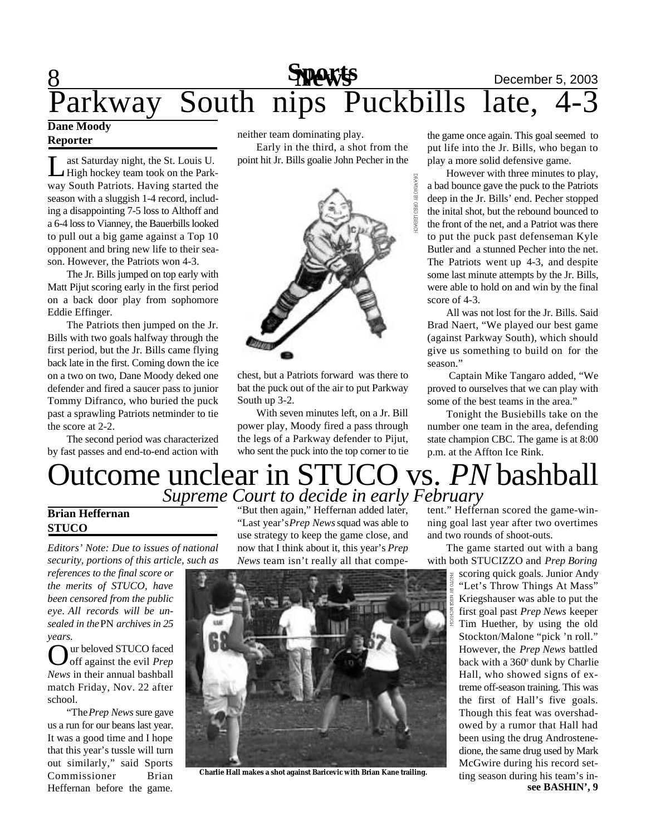

## **Reporter**

L ast Saturday night, the St. Louis U. High hockey team took on the Parkway South Patriots. Having started the season with a sluggish 1-4 record, including a disappointing 7-5 loss to Althoff and a 6-4 loss to Vianney, the Bauerbills looked to pull out a big game against a Top 10 opponent and bring new life to their season. However, the Patriots won 4-3.

The Jr. Bills jumped on top early with Matt Pijut scoring early in the first period on a back door play from sophomore Eddie Effinger.

The Patriots then jumped on the Jr. Bills with two goals halfway through the first period, but the Jr. Bills came flying back late in the first. Coming down the ice on a two on two, Dane Moody deked one defender and fired a saucer pass to junior Tommy Difranco, who buried the puck past a sprawling Patriots netminder to tie the score at 2-2.

The second period was characterized by fast passes and end-to-end action with neither team dominating play.

Early in the third, a shot from the point hit Jr. Bills goalie John Pecher in the



chest, but a Patriots forward was there to bat the puck out of the air to put Parkway South up 3-2.

With seven minutes left, on a Jr. Bill power play, Moody fired a pass through the legs of a Parkway defender to Pijut, who sent the puck into the top corner to tie

the game once again. This goal seemed to put life into the Jr. Bills, who began to play a more solid defensive game.

However with three minutes to play, a bad bounce gave the puck to the Patriots deep in the Jr. Bills' end. Pecher stopped the inital shot, but the rebound bounced to the front of the net, and a Patriot was there to put the puck past defenseman Kyle Butler and a stunned Pecher into the net. The Patriots went up 4-3, and despite some last minute attempts by the Jr. Bills, were able to hold on and win by the final score of 4-3.

All was not lost for the Jr. Bills. Said Brad Naert, "We played our best game (against Parkway South), which should give us something to build on for the season<sup>"</sup>

 Captain Mike Tangaro added, "We proved to ourselves that we can play with some of the best teams in the area."

Tonight the Busiebills take on the number one team in the area, defending state champion CBC. The game is at 8:00 p.m. at the Affton Ice Rink.

## utcome unclear in STUCO vs. *PN* bashball *Supreme Court to decide in early February*

### **Brian Heffernan STUCO**

*Editors' Note: Due to issues of national security, portions of this article, such as*

*references to the final score or the merits of STUCO, have been censored from the public eye. All records will be unsealed in the* PN *archives in 25 years.*

Our beloved STUCO faced ur beloved STUCO faced *News* in their annual bashball match Friday, Nov. 22 after school.

"The *Prep News* sure gave us a run for our beans last year. It was a good time and I hope that this year's tussle will turn out similarly," said Sports Commissioner Brian Heffernan before the game.

"But then again," Heffernan added later, "Last year's *Prep News* squad was able to use strategy to keep the game close, and now that I think about it, this year's *Prep News* team isn't really all that compe-



**Charlie Hall makes a shot against Baricevic with Brian Kane trailing.**

tent." Heffernan scored the game-winning goal last year after two overtimes and two rounds of shoot-outs.

The game started out with a bang with both STUCIZZO and *Prep Boring*

> scoring quick goals. Junior Andy "Let's Throw Things At Mass" Kriegshauser was able to put the first goal past *Prep News* keeper Tim Huether, by using the old Stockton/Malone "pick 'n roll." However, the *Prep News* battled back with a 360° dunk by Charlie Hall, who showed signs of extreme off-season training. This was the first of Hall's five goals. Though this feat was overshadowed by a rumor that Hall had been using the drug Androstenedione, the same drug used by Mark McGwire during his record setting season during his team's in**see BASHIN', 9**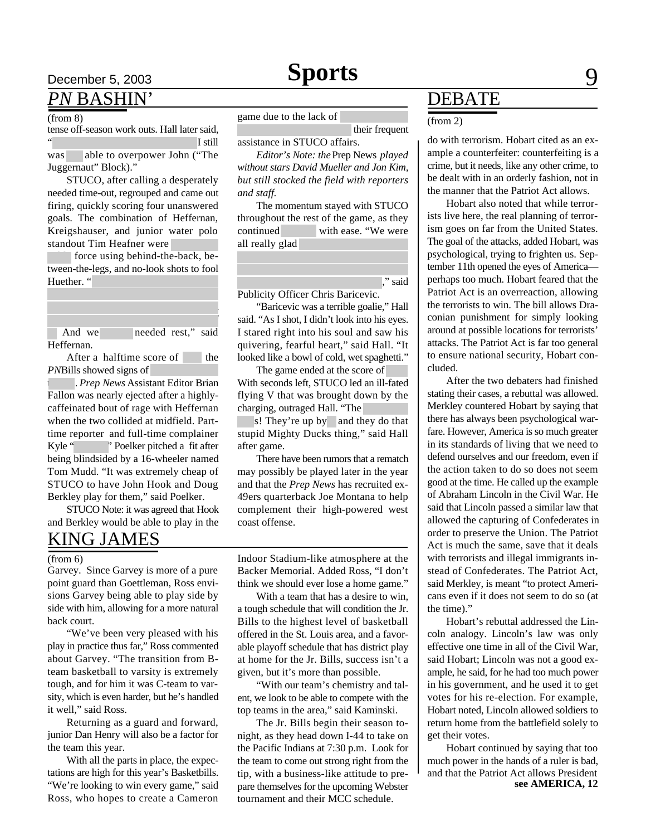## December 5, 2003 **News** 1 2003

## *PN* BASHIN'

#### (from 8)

tense off-season work outs. Hall later said, "Even after all of the steroids I still still steroids I still steroids I still steroids I still steroid in the steroid of the steroid of the steroid of the steroid of the steroid of the steroid of the steroid of the stero

was able to overpower John ("The Juggernaut" Block)."

STUCO, after calling a desperately needed time-out, regrouped and came out firing, quickly scoring four unanswered goals. The combination of Heffernan, Kreigshauser, and junior water polo standout Tim Heafner were

force using behind-the-back, between-the-legs, and no-look shots to fool Huether. "

And we needed rest," said Heffernan.

After a halftime score of the *PNBills showed signs of* 

. *Prep News* Assistant Editor Brian Fallon was nearly ejected after a highlycaffeinated bout of rage with Heffernan when the two collided at midfield. Parttime reporter and full-time complainer Kyle "<sup>N</sup> Poelker pitched a fit after being blindsided by a 16-wheeler named Tom Mudd. "It was extremely cheap of STUCO to have John Hook and Doug Berkley play for them," said Poelker.

STUCO Note: it was agreed that Hook and Berkley would be able to play in the

## KING JAMES

#### (from 6)

Garvey. Since Garvey is more of a pure point guard than Goettleman, Ross envisions Garvey being able to play side by side with him, allowing for a more natural back court.

"We've been very pleased with his play in practice thus far," Ross commented about Garvey. "The transition from Bteam basketball to varsity is extremely tough, and for him it was C-team to varsity, which is even harder, but he's handled it well," said Ross.

Returning as a guard and forward, junior Dan Henry will also be a factor for the team this year.

With all the parts in place, the expectations are high for this year's Basketbills. "We're looking to win every game," said Ross, who hopes to create a Cameron

game due to the lack of

their frequent assistance in STUCO affairs.

*Editor's Note: the* Prep News *played without stars David Mueller and Jon Kim, but still stocked the field with reporters and staff.*

The momentum stayed with STUCO throughout the rest of the game, as they continued with ease. "We were all really glad

where when  $\mathbb{R}^n$  said

Publicity Officer Chris Baricevic.

"Baricevic was a terrible goalie," Hall said. "As I shot, I didn't look into his eyes. I stared right into his soul and saw his quivering, fearful heart," said Hall. "It looked like a bowl of cold, wet spaghetti."

The game ended at the score of With seconds left, STUCO led an ill-fated flying V that was brought down by the charging, outraged Hall. "The

s! They're up by  $\theta$  and they do that stupid Mighty Ducks thing," said Hall after game.

There have been rumors that a rematch may possibly be played later in the year and that the *Prep News* has recruited ex-49ers quarterback Joe Montana to help complement their high-powered west coast offense.

Indoor Stadium-like atmosphere at the Backer Memorial. Added Ross, "I don't think we should ever lose a home game."

With a team that has a desire to win, a tough schedule that will condition the Jr. Bills to the highest level of basketball offered in the St. Louis area, and a favorable playoff schedule that has district play at home for the Jr. Bills, success isn't a given, but it's more than possible.

"With our team's chemistry and talent, we look to be able to compete with the top teams in the area," said Kaminski.

The Jr. Bills begin their season tonight, as they head down I-44 to take on the Pacific Indians at 7:30 p.m. Look for the team to come out strong right from the tip, with a business-like attitude to prepare themselves for the upcoming Webster tournament and their MCC schedule.

## **DEBATE**

(from 2)

do with terrorism. Hobart cited as an example a counterfeiter: counterfeiting is a crime, but it needs, like any other crime, to be dealt with in an orderly fashion, not in the manner that the Patriot Act allows.

Hobart also noted that while terrorists live here, the real planning of terrorism goes on far from the United States. The goal of the attacks, added Hobart, was psychological, trying to frighten us. September 11th opened the eyes of America perhaps too much. Hobart feared that the Patriot Act is an overreaction, allowing the terrorists to win. The bill allows Draconian punishment for simply looking around at possible locations for terrorists' attacks. The Patriot Act is far too general to ensure national security, Hobart concluded.

After the two debaters had finished stating their cases, a rebuttal was allowed. Merkley countered Hobart by saying that there has always been psychological warfare. However, America is so much greater in its standards of living that we need to defend ourselves and our freedom, even if the action taken to do so does not seem good at the time. He called up the example of Abraham Lincoln in the Civil War. He said that Lincoln passed a similar law that allowed the capturing of Confederates in order to preserve the Union. The Patriot Act is much the same, save that it deals with terrorists and illegal immigrants instead of Confederates. The Patriot Act, said Merkley, is meant "to protect Americans even if it does not seem to do so (at the time)."

Hobart's rebuttal addressed the Lincoln analogy. Lincoln's law was only effective one time in all of the Civil War, said Hobart; Lincoln was not a good example, he said, for he had too much power in his government, and he used it to get votes for his re-election. For example, Hobart noted, Lincoln allowed soldiers to return home from the battlefield solely to get their votes.

Hobart continued by saying that too much power in the hands of a ruler is bad, and that the Patriot Act allows President **see AMERICA, 12**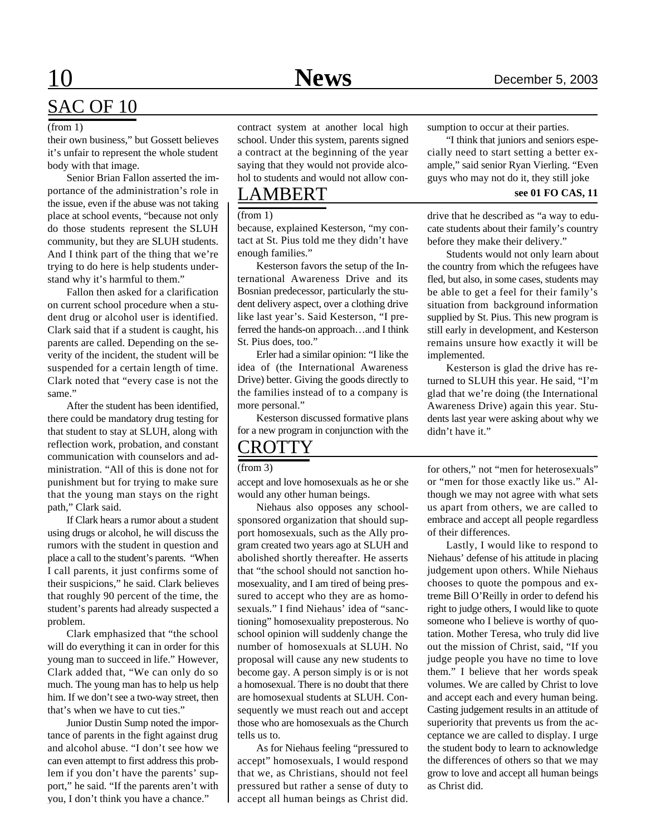## 10 **News** December 5, 2003 SAC OF 10

### (from 1)

their own business," but Gossett believes it's unfair to represent the whole student body with that image.

Senior Brian Fallon asserted the importance of the administration's role in the issue, even if the abuse was not taking place at school events, "because not only do those students represent the SLUH community, but they are SLUH students. And I think part of the thing that we're trying to do here is help students understand why it's harmful to them."

Fallon then asked for a clarification on current school procedure when a student drug or alcohol user is identified. Clark said that if a student is caught, his parents are called. Depending on the severity of the incident, the student will be suspended for a certain length of time. Clark noted that "every case is not the same."

After the student has been identified, there could be mandatory drug testing for that student to stay at SLUH, along with reflection work, probation, and constant communication with counselors and administration. "All of this is done not for punishment but for trying to make sure that the young man stays on the right path," Clark said.

If Clark hears a rumor about a student using drugs or alcohol, he will discuss the rumors with the student in question and place a call to the student's parents. "When I call parents, it just confirms some of their suspicions," he said. Clark believes that roughly 90 percent of the time, the student's parents had already suspected a problem.

Clark emphasized that "the school will do everything it can in order for this young man to succeed in life." However, Clark added that, "We can only do so much. The young man has to help us help him. If we don't see a two-way street, then that's when we have to cut ties."

Junior Dustin Sump noted the importance of parents in the fight against drug and alcohol abuse. "I don't see how we can even attempt to first address this problem if you don't have the parents' support," he said. "If the parents aren't with you, I don't think you have a chance."

contract system at another local high school. Under this system, parents signed a contract at the beginning of the year saying that they would not provide alcohol to students and would not allow con-

## LAMBERT

### (from 1)

because, explained Kesterson, "my contact at St. Pius told me they didn't have enough families."

Kesterson favors the setup of the International Awareness Drive and its Bosnian predecessor, particularly the student delivery aspect, over a clothing drive like last year's. Said Kesterson, "I preferred the hands-on approach…and I think St. Pius does, too."

Erler had a similar opinion: "I like the idea of (the International Awareness Drive) better. Giving the goods directly to the families instead of to a company is more personal."

Kesterson discussed formative plans for a new program in conjunction with the

## **CROTTY**

#### (from 3)

accept and love homosexuals as he or she would any other human beings.

Niehaus also opposes any schoolsponsored organization that should support homosexuals, such as the Ally program created two years ago at SLUH and abolished shortly thereafter. He asserts that "the school should not sanction homosexuality, and I am tired of being pressured to accept who they are as homosexuals." I find Niehaus' idea of "sanctioning" homosexuality preposterous. No school opinion will suddenly change the number of homosexuals at SLUH. No proposal will cause any new students to become gay. A person simply is or is not a homosexual. There is no doubt that there are homosexual students at SLUH. Consequently we must reach out and accept those who are homosexuals as the Church tells us to.

As for Niehaus feeling "pressured to accept" homosexuals, I would respond that we, as Christians, should not feel pressured but rather a sense of duty to accept all human beings as Christ did.

sumption to occur at their parties.

"I think that juniors and seniors especially need to start setting a better example," said senior Ryan Vierling. "Even guys who may not do it, they still joke

### **see 01 FO CAS, 11**

drive that he described as "a way to educate students about their family's country before they make their delivery."

Students would not only learn about the country from which the refugees have fled, but also, in some cases, students may be able to get a feel for their family's situation from background information supplied by St. Pius. This new program is still early in development, and Kesterson remains unsure how exactly it will be implemented.

Kesterson is glad the drive has returned to SLUH this year. He said, "I'm glad that we're doing (the International Awareness Drive) again this year. Students last year were asking about why we didn't have it."

for others," not "men for heterosexuals" or "men for those exactly like us." Although we may not agree with what sets us apart from others, we are called to embrace and accept all people regardless of their differences.

Lastly, I would like to respond to Niehaus' defense of his attitude in placing judgement upon others. While Niehaus chooses to quote the pompous and extreme Bill O'Reilly in order to defend his right to judge others, I would like to quote someone who I believe is worthy of quotation. Mother Teresa, who truly did live out the mission of Christ, said, "If you judge people you have no time to love them." I believe that her words speak volumes. We are called by Christ to love and accept each and every human being. Casting judgement results in an attitude of superiority that prevents us from the acceptance we are called to display. I urge the student body to learn to acknowledge the differences of others so that we may grow to love and accept all human beings as Christ did.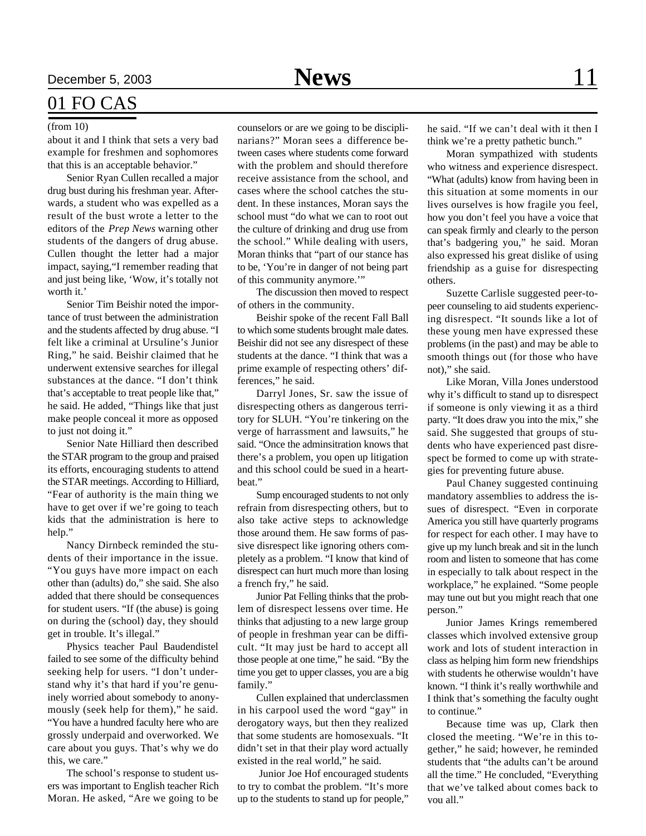## 01 FO CAS

about it and I think that sets a very bad example for freshmen and sophomores that this is an acceptable behavior."

Senior Ryan Cullen recalled a major drug bust during his freshman year. Afterwards, a student who was expelled as a result of the bust wrote a letter to the editors of the *Prep News* warning other students of the dangers of drug abuse. Cullen thought the letter had a major impact, saying,"I remember reading that and just being like, 'Wow, it's totally not worth it.'

Senior Tim Beishir noted the importance of trust between the administration and the students affected by drug abuse. "I felt like a criminal at Ursuline's Junior Ring," he said. Beishir claimed that he underwent extensive searches for illegal substances at the dance. "I don't think that's acceptable to treat people like that," he said. He added, "Things like that just make people conceal it more as opposed to just not doing it."

Senior Nate Hilliard then described the STAR program to the group and praised its efforts, encouraging students to attend the STAR meetings. According to Hilliard, "Fear of authority is the main thing we have to get over if we're going to teach kids that the administration is here to help."

Nancy Dirnbeck reminded the students of their importance in the issue. "You guys have more impact on each other than (adults) do," she said. She also added that there should be consequences for student users. "If (the abuse) is going on during the (school) day, they should get in trouble. It's illegal."

Physics teacher Paul Baudendistel failed to see some of the difficulty behind seeking help for users. "I don't understand why it's that hard if you're genuinely worried about somebody to anonymously (seek help for them)," he said. "You have a hundred faculty here who are grossly underpaid and overworked. We care about you guys. That's why we do this, we care."

The school's response to student users was important to English teacher Rich Moran. He asked, "Are we going to be

(from 10) counselors or are we going to be disciplinarians?" Moran sees a difference between cases where students come forward with the problem and should therefore receive assistance from the school, and cases where the school catches the student. In these instances, Moran says the school must "do what we can to root out the culture of drinking and drug use from the school." While dealing with users, Moran thinks that "part of our stance has to be, 'You're in danger of not being part of this community anymore.'"

> The discussion then moved to respect of others in the community.

> Beishir spoke of the recent Fall Ball to which some students brought male dates. Beishir did not see any disrespect of these students at the dance. "I think that was a prime example of respecting others' differences," he said.

> Darryl Jones, Sr. saw the issue of disrespecting others as dangerous territory for SLUH. "You're tinkering on the verge of harrassment and lawsuits," he said. "Once the adminsitration knows that there's a problem, you open up litigation and this school could be sued in a heartbeat."

> Sump encouraged students to not only refrain from disrespecting others, but to also take active steps to acknowledge those around them. He saw forms of passive disrespect like ignoring others completely as a problem. "I know that kind of disrespect can hurt much more than losing a french fry," he said.

> Junior Pat Felling thinks that the problem of disrespect lessens over time. He thinks that adjusting to a new large group of people in freshman year can be difficult. "It may just be hard to accept all those people at one time," he said. "By the time you get to upper classes, you are a big family."

> Cullen explained that underclassmen in his carpool used the word "gay" in derogatory ways, but then they realized that some students are homosexuals. "It didn't set in that their play word actually existed in the real world," he said.

> Junior Joe Hof encouraged students to try to combat the problem. "It's more up to the students to stand up for people,"

he said. "If we can't deal with it then I think we're a pretty pathetic bunch."

Moran sympathized with students who witness and experience disrespect. "What (adults) know from having been in this situation at some moments in our lives ourselves is how fragile you feel, how you don't feel you have a voice that can speak firmly and clearly to the person that's badgering you," he said. Moran also expressed his great dislike of using friendship as a guise for disrespecting others.

Suzette Carlisle suggested peer-topeer counseling to aid students experiencing disrespect. "It sounds like a lot of these young men have expressed these problems (in the past) and may be able to smooth things out (for those who have not)," she said.

Like Moran, Villa Jones understood why it's difficult to stand up to disrespect if someone is only viewing it as a third party. "It does draw you into the mix," she said. She suggested that groups of students who have experienced past disrespect be formed to come up with strategies for preventing future abuse.

Paul Chaney suggested continuing mandatory assemblies to address the issues of disrespect. "Even in corporate America you still have quarterly programs for respect for each other. I may have to give up my lunch break and sit in the lunch room and listen to someone that has come in especially to talk about respect in the workplace," he explained. "Some people may tune out but you might reach that one person."

Junior James Krings remembered classes which involved extensive group work and lots of student interaction in class as helping him form new friendships with students he otherwise wouldn't have known. "I think it's really worthwhile and I think that's something the faculty ought to continue."

Because time was up, Clark then closed the meeting. "We're in this together," he said; however, he reminded students that "the adults can't be around all the time." He concluded, "Everything that we've talked about comes back to you all."